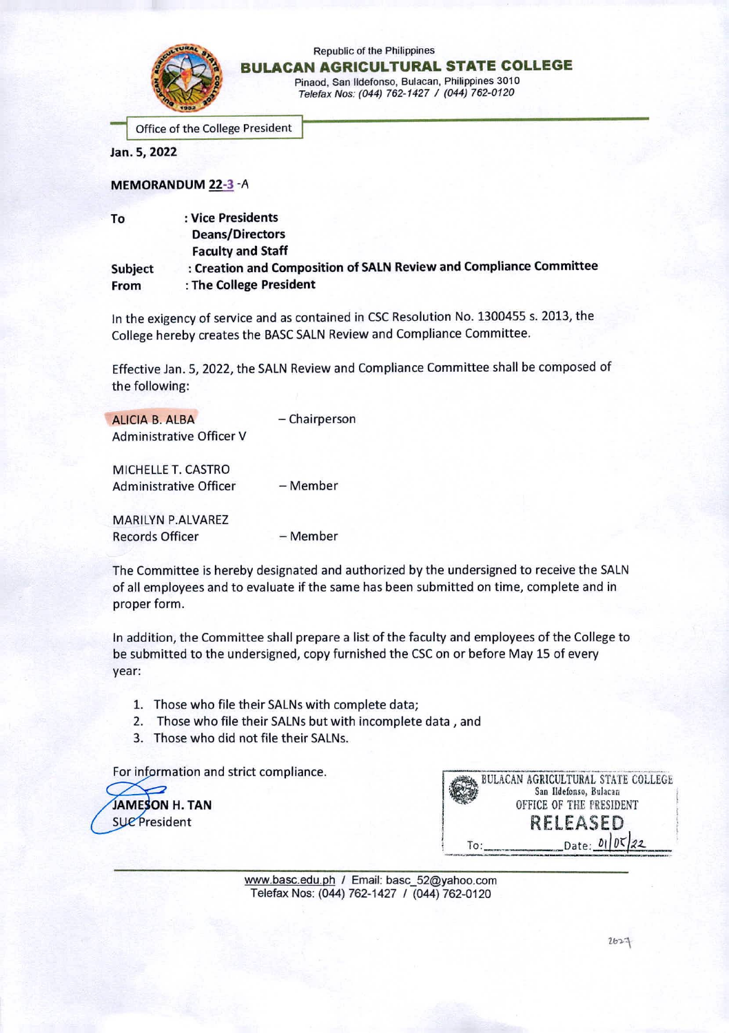

## Republic of the Philippines **BULACAN AGRICULTURAL STATE COLLEGE**

Pinaod, San lldefonso, Bulacan, Philippines 3010 *Telefax Nos: (044) 762-1427 / (044) 762-0120*

Office of the College President

**Jan. 5, 2022**

**MEMORANDUM 22-3 A**

| To      | : Vice Presidents                                                  |
|---------|--------------------------------------------------------------------|
|         | <b>Deans/Directors</b>                                             |
|         | <b>Faculty and Staff</b>                                           |
| Subject | : Creation and Composition of SALN Review and Compliance Committee |
| From    | : The College President                                            |

In the exigency of service and as contained in CSC Resolution No. 1300455 s. 2013, the College hereby creates the BASC SALN Review and Compliance Committee.

Effective Jan. 5, 2022, the SALN Review and Compliance Committee shall be composed of the following:

| <b>ALICIA B. ALBA</b><br><b>Administrative Officer V</b> | - Chairperson |
|----------------------------------------------------------|---------------|
| MICHELLE T. CASTRO<br><b>Administrative Officer</b>      | - Member      |
|                                                          |               |
| <b>MARILYN P.ALVAREZ</b>                                 |               |
| <b>Records Officer</b>                                   | - Member      |

The Committee is hereby designated and authorized by the undersigned to receive the SALN of all employees and to evaluate if the same has been submitted on time, complete and in proper form.

In addition, the Committee shall prepare a list of the faculty and employees of the College to be submitted to the undersigned, copy furnished the CSC on or before May 15 of every year:

- 1. Those who file their SALNs with complete data;
- 2. Those who file their SALNs but with incomplete data , and
- 3. Those who did not file their SALNs.





[www.basc.edu.ph](http://www.basc.edu.ph) / Email: [basc\\_52@yahoo.com](mailto:basc_52@yahoo.com) Telefax Nos: (044) 762-1427 / (044)762-0120